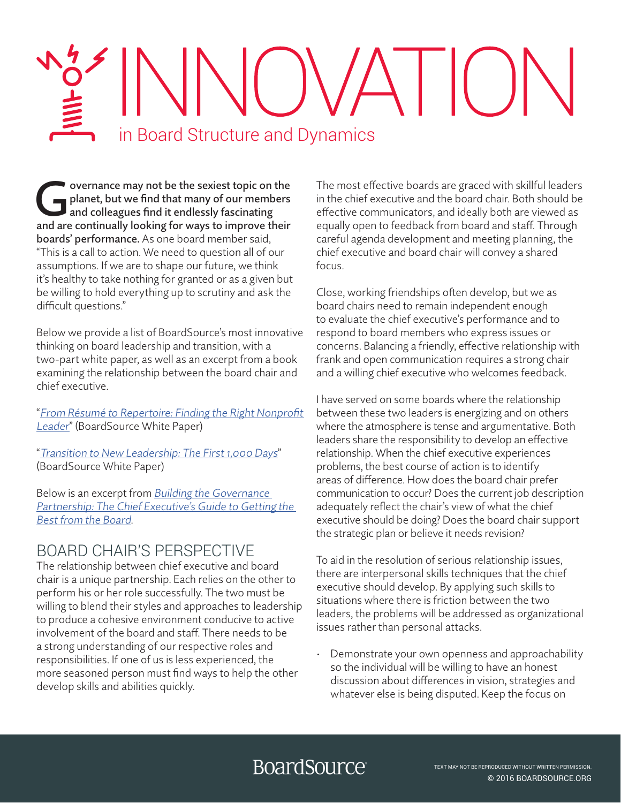# $\left| \left( \begin{array}{c} \end{array} \right) \right| \left( \begin{array}{c} \end{array} \right)$ in Board Structure and Dynamics

overnance may not be the sexiest topic on the<br>planet, but we find that many of our members<br>and colleagues find it endlessly fascinating<br>and are continually looking for ways to improve their planet, but we find that many of our members and colleagues find it endlessly fascinating and are continually looking for ways to improve their boards' performance. As one board member said, "This is a call to action. We need to question all of our assumptions. If we are to shape our future, we think it's healthy to take nothing for granted or as a given but be willing to hold everything up to scrutiny and ask the difficult questions."

Below we provide a list of BoardSource's most innovative thinking on board leadership and transition, with a two-part white paper, as well as an excerpt from a book examining the relationship between the board chair and chief executive.

"[From Résumé to Repertoire: Finding the Right Nonprofit](https://boardsource.org/resources/chie-executive-recruitment-finding/)  [Leader](https://www.boardsource.org/eweb/DynamicPage.aspx?Action=Add&ObjectKeyFrom=1A83491A-9853-4C87-86A4-F7D95601C2E2&WebCode=ProdDetailAdd&DoNotSave=yes&ParentObject=CentralizedOrderEntry&ParentDataObject=Invoice%20Detail&ivd_formkey=69202792-63d7-4ba2-bf4e-a0da41270555&ivd_cst_key=01c9970f-4c20-4994-97af-ab508ef70c06&ivd_prc_prd_key=8CDA4B82-CCC0-4E22-A4F9-9134015EF0EE&Site=bds2012)" (BoardSource White Paper)

"[Transition to New Leadership: The First 1,000 Days](https://boardsource.org/resources/nonprofit-leadership-transitions/)" (BoardSource White Paper)

Below is an excerpt from **Building the Governance** [Partnership: The Chief Executive's Guide to Getting the](https://my.boardsource.org/eweb/DynamicPage.aspx?Action=Add&ObjectKeyFrom=1A83491A-9853-4C87-86A4-F7D95601C2E2&WebCode=ProdDetailAdd&DoNotSave=yes&ParentObject=CentralizedOrderEntry&ParentDataObject=Invoice%20Detail&ivd_formkey=69202792-63d7-4ba2-bf4e-a0da412)  [Best from the Board](https://my.boardsource.org/eweb/DynamicPage.aspx?Action=Add&ObjectKeyFrom=1A83491A-9853-4C87-86A4-F7D95601C2E2&WebCode=ProdDetailAdd&DoNotSave=yes&ParentObject=CentralizedOrderEntry&ParentDataObject=Invoice%20Detail&ivd_formkey=69202792-63d7-4ba2-bf4e-a0da41270555&ivd_cst_key=00000000-0000-0000-0000-000000000000&ivd_prc_prd_key=A5CB07F9-7DC9-423A-AEC6-3F47FB2A355E).

### BOARD CHAIR'S PERSPECTIVE

The relationship between chief executive and board chair is a unique partnership. Each relies on the other to perform his or her role successfully. The two must be willing to blend their styles and approaches to leadership to produce a cohesive environment conducive to active involvement of the board and staff. There needs to be a strong understanding of our respective roles and responsibilities. If one of us is less experienced, the more seasoned person must find ways to help the other develop skills and abilities quickly.

The most effective boards are graced with skillful leaders in the chief executive and the board chair. Both should be effective communicators, and ideally both are viewed as equally open to feedback from board and staff. Through careful agenda development and meeting planning, the chief executive and board chair will convey a shared focus.

Close, working friendships often develop, but we as board chairs need to remain independent enough to evaluate the chief executive's performance and to respond to board members who express issues or concerns. Balancing a friendly, effective relationship with frank and open communication requires a strong chair and a willing chief executive who welcomes feedback.

I have served on some boards where the relationship between these two leaders is energizing and on others where the atmosphere is tense and argumentative. Both leaders share the responsibility to develop an effective relationship. When the chief executive experiences problems, the best course of action is to identify areas of difference. How does the board chair prefer communication to occur? Does the current job description adequately reflect the chair's view of what the chief executive should be doing? Does the board chair support the strategic plan or believe it needs revision?

To aid in the resolution of serious relationship issues, there are interpersonal skills techniques that the chief executive should develop. By applying such skills to situations where there is friction between the two leaders, the problems will be addressed as organizational issues rather than personal attacks.

• Demonstrate your own openness and approachability so the individual will be willing to have an honest discussion about differences in vision, strategies and whatever else is being disputed. Keep the focus on

## **BoardSource**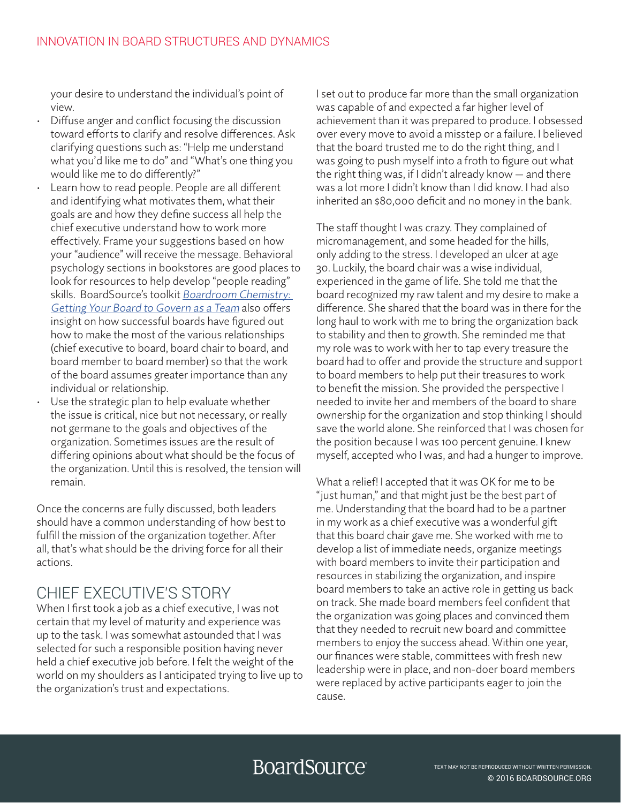your desire to understand the individual's point of view.

- Diffuse anger and conflict focusing the discussion toward efforts to clarify and resolve differences. Ask clarifying questions such as: "Help me understand what you'd like me to do" and "What's one thing you would like me to do differently?"
- Learn how to read people. People are all different and identifying what motivates them, what their goals are and how they define success all help the chief executive understand how to work more effectively. Frame your suggestions based on how your "audience" will receive the message. Behavioral psychology sections in bookstores are good places to look for resources to help develop "people reading" skills. BoardSource's toolkit [Boardroom Chemistry:](https://my.boardsource.org/eweb/DynamicPage.aspx?Action=Add&ObjectKeyFrom=1A83491A-9853-4C87-86A4-F7D95601C2E2&WebCode=ProdDetailAdd&DoNotSave=yes&ParentObject=CentralizedOrderEntry&ParentDataObject=Invoice%20Detail&ivd_formkey=69202792-63d7-4ba2-bf4e-a0da41270555&ivd_cst_key=00000000-0000-0000-0000-000000000000&ivd_prc_prd_key=29FE5F2D-7869-416C-B1E7-8825DAB1A2D1) [Getting Your Board to Govern as a Team](https://my.boardsource.org/eweb/DynamicPage.aspx?Action=Add&ObjectKeyFrom=1A83491A-9853-4C87-86A4-F7D95601C2E2&WebCode=ProdDetailAdd&DoNotSave=yes&ParentObject=CentralizedOrderEntry&ParentDataObject=Invoice%20Detail&ivd_formkey=69202792-63d7-4ba2-bf4e-a0da41270555&ivd_cst_key=00000000-0000-0000-0000-000000000000&ivd_prc_prd_key=29FE5F2D-7869-416C-B1E7-8825DAB1A2D1) also offers insight on how successful boards have figured out how to make the most of the various relationships (chief executive to board, board chair to board, and board member to board member) so that the work of the board assumes greater importance than any individual or relationship.
- Use the strategic plan to help evaluate whether the issue is critical, nice but not necessary, or really not germane to the goals and objectives of the organization. Sometimes issues are the result of differing opinions about what should be the focus of the organization. Until this is resolved, the tension will remain.

Once the concerns are fully discussed, both leaders should have a common understanding of how best to fulfill the mission of the organization together. After all, that's what should be the driving force for all their actions.

#### CHIEF EXECUTIVE'S STORY

When I first took a job as a chief executive, I was not certain that my level of maturity and experience was up to the task. I was somewhat astounded that I was selected for such a responsible position having never held a chief executive job before. I felt the weight of the world on my shoulders as I anticipated trying to live up to the organization's trust and expectations.

I set out to produce far more than the small organization was capable of and expected a far higher level of achievement than it was prepared to produce. I obsessed over every move to avoid a misstep or a failure. I believed that the board trusted me to do the right thing, and I was going to push myself into a froth to figure out what the right thing was, if I didn't already know — and there was a lot more I didn't know than I did know. I had also inherited an \$80,000 deficit and no money in the bank.

The staff thought I was crazy. They complained of micromanagement, and some headed for the hills, only adding to the stress. I developed an ulcer at age 30. Luckily, the board chair was a wise individual, experienced in the game of life. She told me that the board recognized my raw talent and my desire to make a difference. She shared that the board was in there for the long haul to work with me to bring the organization back to stability and then to growth. She reminded me that my role was to work with her to tap every treasure the board had to offer and provide the structure and support to board members to help put their treasures to work to benefit the mission. She provided the perspective I needed to invite her and members of the board to share ownership for the organization and stop thinking I should save the world alone. She reinforced that I was chosen for the position because I was 100 percent genuine. I knew myself, accepted who I was, and had a hunger to improve.

What a relief! I accepted that it was OK for me to be "just human," and that might just be the best part of me. Understanding that the board had to be a partner in my work as a chief executive was a wonderful gift that this board chair gave me. She worked with me to develop a list of immediate needs, organize meetings with board members to invite their participation and resources in stabilizing the organization, and inspire board members to take an active role in getting us back on track. She made board members feel confident that the organization was going places and convinced them that they needed to recruit new board and committee members to enjoy the success ahead. Within one year, our finances were stable, committees with fresh new leadership were in place, and non-doer board members were replaced by active participants eager to join the cause.

## **BoardSource**